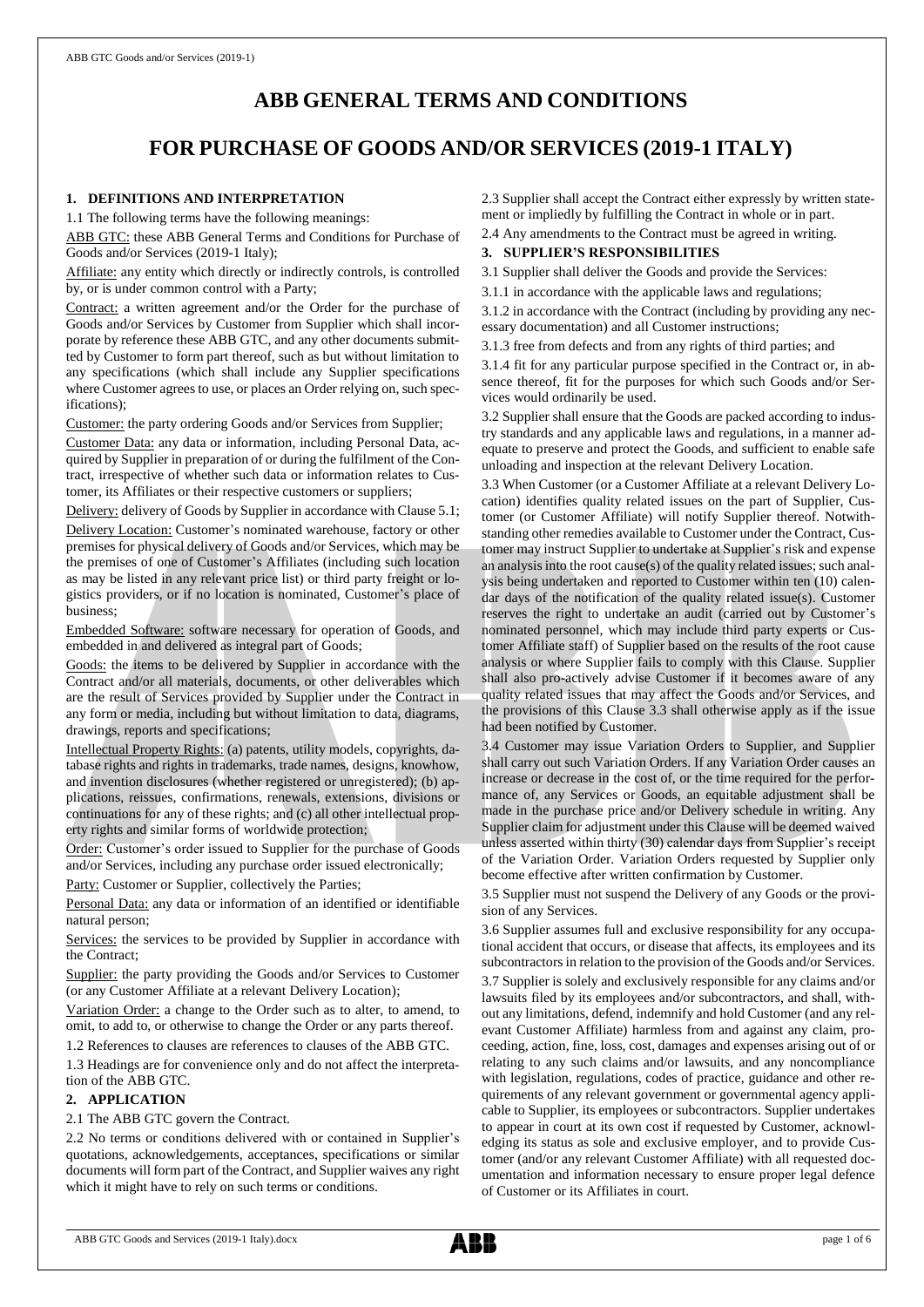# **ABB GENERAL TERMS AND CONDITIONS**

# **FOR PURCHASE OF GOODS AND/OR SERVICES (2019-1 ITALY)**

# **1. DEFINITIONS AND INTERPRETATION**

1.1 The following terms have the following meanings:

ABB GTC: these ABB General Terms and Conditions for Purchase of Goods and/or Services (2019-1 Italy);

Affiliate: any entity which directly or indirectly controls, is controlled by, or is under common control with a Party;

Contract: a written agreement and/or the Order for the purchase of Goods and/or Services by Customer from Supplier which shall incorporate by reference these ABB GTC, and any other documents submitted by Customer to form part thereof, such as but without limitation to any specifications (which shall include any Supplier specifications where Customer agrees to use, or places an Order relying on, such specifications);

Customer: the party ordering Goods and/or Services from Supplier;

Customer Data: any data or information, including Personal Data, acquired by Supplier in preparation of or during the fulfilment of the Contract, irrespective of whether such data or information relates to Customer, its Affiliates or their respective customers or suppliers;

Delivery: delivery of Goods by Supplier in accordance with Clause 5.1; Delivery Location: Customer's nominated warehouse, factory or other premises for physical delivery of Goods and/or Services, which may be the premises of one of Customer's Affiliates (including such location as may be listed in any relevant price list) or third party freight or logistics providers, or if no location is nominated, Customer's place of business;

Embedded Software: software necessary for operation of Goods, and embedded in and delivered as integral part of Goods;

Goods: the items to be delivered by Supplier in accordance with the Contract and/or all materials, documents, or other deliverables which are the result of Services provided by Supplier under the Contract in any form or media, including but without limitation to data, diagrams, drawings, reports and specifications;

Intellectual Property Rights: (a) patents, utility models, copyrights, database rights and rights in trademarks, trade names, designs, knowhow, and invention disclosures (whether registered or unregistered); (b) applications, reissues, confirmations, renewals, extensions, divisions or continuations for any of these rights; and (c) all other intellectual property rights and similar forms of worldwide protection;

Order: Customer's order issued to Supplier for the purchase of Goods and/or Services, including any purchase order issued electronically;

Party: Customer or Supplier, collectively the Parties;

Personal Data: any data or information of an identified or identifiable natural person;

Services: the services to be provided by Supplier in accordance with the Contract;

Supplier: the party providing the Goods and/or Services to Customer (or any Customer Affiliate at a relevant Delivery Location);

Variation Order: a change to the Order such as to alter, to amend, to omit, to add to, or otherwise to change the Order or any parts thereof.

1.2 References to clauses are references to clauses of the ABB GTC.

1.3 Headings are for convenience only and do not affect the interpretation of the ABB GTC.

# **2. APPLICATION**

## 2.1 The ABB GTC govern the Contract.

2.2 No terms or conditions delivered with or contained in Supplier's quotations, acknowledgements, acceptances, specifications or similar documents will form part of the Contract, and Supplier waives any right which it might have to rely on such terms or conditions.

2.3 Supplier shall accept the Contract either expressly by written statement or impliedly by fulfilling the Contract in whole or in part.

2.4 Any amendments to the Contract must be agreed in writing.

# **3. SUPPLIER'S RESPONSIBILITIES**

3.1 Supplier shall deliver the Goods and provide the Services:

3.1.1 in accordance with the applicable laws and regulations;

3.1.2 in accordance with the Contract (including by providing any necessary documentation) and all Customer instructions;

3.1.3 free from defects and from any rights of third parties; and

3.1.4 fit for any particular purpose specified in the Contract or, in absence thereof, fit for the purposes for which such Goods and/or Services would ordinarily be used.

3.2 Supplier shall ensure that the Goods are packed according to industry standards and any applicable laws and regulations, in a manner adequate to preserve and protect the Goods, and sufficient to enable safe unloading and inspection at the relevant Delivery Location.

3.3 When Customer (or a Customer Affiliate at a relevant Delivery Location) identifies quality related issues on the part of Supplier, Customer (or Customer Affiliate) will notify Supplier thereof. Notwithstanding other remedies available to Customer under the Contract, Customer may instruct Supplier to undertake at Supplier's risk and expense an analysis into the root cause(s) of the quality related issues; such analysis being undertaken and reported to Customer within ten (10) calendar days of the notification of the quality related issue(s). Customer reserves the right to undertake an audit (carried out by Customer's nominated personnel, which may include third party experts or Customer Affiliate staff) of Supplier based on the results of the root cause analysis or where Supplier fails to comply with this Clause. Supplier shall also pro-actively advise Customer if it becomes aware of any quality related issues that may affect the Goods and/or Services, and the provisions of this Clause 3.3 shall otherwise apply as if the issue had been notified by Customer.

3.4 Customer may issue Variation Orders to Supplier, and Supplier shall carry out such Variation Orders. If any Variation Order causes an increase or decrease in the cost of, or the time required for the performance of, any Services or Goods, an equitable adjustment shall be made in the purchase price and/or Delivery schedule in writing. Any Supplier claim for adjustment under this Clause will be deemed waived unless asserted within thirty (30) calendar days from Supplier's receipt of the Variation Order. Variation Orders requested by Supplier only become effective after written confirmation by Customer.

3.5 Supplier must not suspend the Delivery of any Goods or the provision of any Services.

3.6 Supplier assumes full and exclusive responsibility for any occupational accident that occurs, or disease that affects, its employees and its subcontractors in relation to the provision of the Goods and/or Services. 3.7 Supplier is solely and exclusively responsible for any claims and/or lawsuits filed by its employees and/or subcontractors, and shall, without any limitations, defend, indemnify and hold Customer (and any relevant Customer Affiliate) harmless from and against any claim, proceeding, action, fine, loss, cost, damages and expenses arising out of or relating to any such claims and/or lawsuits, and any noncompliance with legislation, regulations, codes of practice, guidance and other requirements of any relevant government or governmental agency applicable to Supplier, its employees or subcontractors. Supplier undertakes to appear in court at its own cost if requested by Customer, acknowledging its status as sole and exclusive employer, and to provide Customer (and/or any relevant Customer Affiliate) with all requested documentation and information necessary to ensure proper legal defence of Customer or its Affiliates in court.

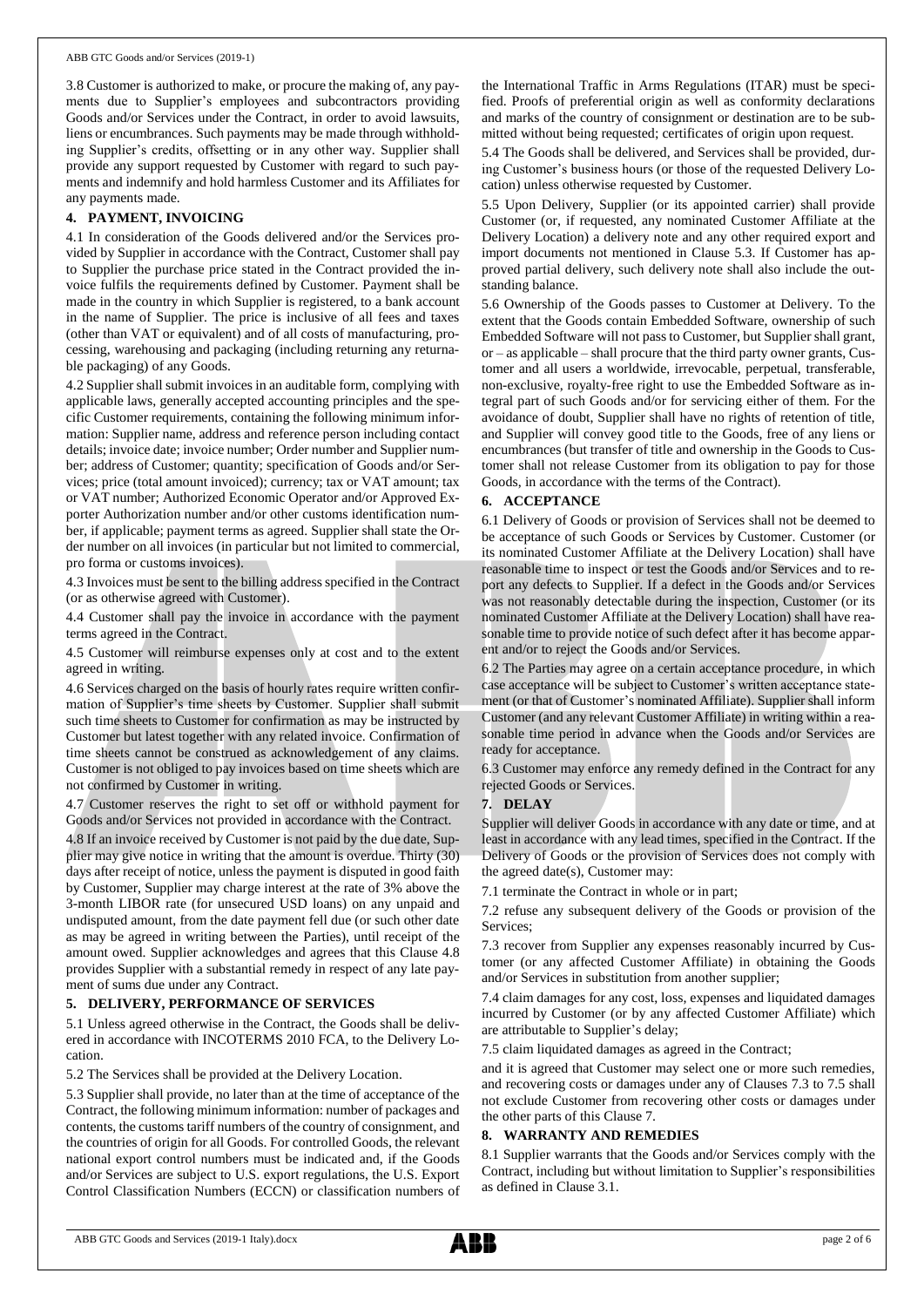3.8 Customer is authorized to make, or procure the making of, any payments due to Supplier's employees and subcontractors providing Goods and/or Services under the Contract, in order to avoid lawsuits, liens or encumbrances. Such payments may be made through withholding Supplier's credits, offsetting or in any other way. Supplier shall provide any support requested by Customer with regard to such payments and indemnify and hold harmless Customer and its Affiliates for any payments made.

# **4. PAYMENT, INVOICING**

4.1 In consideration of the Goods delivered and/or the Services provided by Supplier in accordance with the Contract, Customer shall pay to Supplier the purchase price stated in the Contract provided the invoice fulfils the requirements defined by Customer. Payment shall be made in the country in which Supplier is registered, to a bank account in the name of Supplier. The price is inclusive of all fees and taxes (other than VAT or equivalent) and of all costs of manufacturing, processing, warehousing and packaging (including returning any returnable packaging) of any Goods.

4.2 Supplier shall submit invoices in an auditable form, complying with applicable laws, generally accepted accounting principles and the specific Customer requirements, containing the following minimum information: Supplier name, address and reference person including contact details; invoice date; invoice number; Order number and Supplier number; address of Customer; quantity; specification of Goods and/or Services; price (total amount invoiced); currency; tax or VAT amount; tax or VAT number; Authorized Economic Operator and/or Approved Exporter Authorization number and/or other customs identification number, if applicable; payment terms as agreed. Supplier shall state the Order number on all invoices (in particular but not limited to commercial, pro forma or customs invoices).

4.3 Invoices must be sent to the billing address specified in the Contract (or as otherwise agreed with Customer).

4.4 Customer shall pay the invoice in accordance with the payment terms agreed in the Contract.

4.5 Customer will reimburse expenses only at cost and to the extent agreed in writing.

4.6 Services charged on the basis of hourly rates require written confirmation of Supplier's time sheets by Customer. Supplier shall submit such time sheets to Customer for confirmation as may be instructed by Customer but latest together with any related invoice. Confirmation of time sheets cannot be construed as acknowledgement of any claims. Customer is not obliged to pay invoices based on time sheets which are not confirmed by Customer in writing.

4.7 Customer reserves the right to set off or withhold payment for Goods and/or Services not provided in accordance with the Contract.

4.8 If an invoice received by Customer is not paid by the due date, Supplier may give notice in writing that the amount is overdue. Thirty (30) days after receipt of notice, unless the payment is disputed in good faith by Customer, Supplier may charge interest at the rate of 3% above the 3-month LIBOR rate (for unsecured USD loans) on any unpaid and undisputed amount, from the date payment fell due (or such other date as may be agreed in writing between the Parties), until receipt of the amount owed. Supplier acknowledges and agrees that this Clause 4.8 provides Supplier with a substantial remedy in respect of any late payment of sums due under any Contract.

## **5. DELIVERY, PERFORMANCE OF SERVICES**

5.1 Unless agreed otherwise in the Contract, the Goods shall be delivered in accordance with INCOTERMS 2010 FCA, to the Delivery Location.

5.2 The Services shall be provided at the Delivery Location.

5.3 Supplier shall provide, no later than at the time of acceptance of the Contract, the following minimum information: number of packages and contents, the customs tariff numbers of the country of consignment, and the countries of origin for all Goods. For controlled Goods, the relevant national export control numbers must be indicated and, if the Goods and/or Services are subject to U.S. export regulations, the U.S. Export Control Classification Numbers (ECCN) or classification numbers of the International Traffic in Arms Regulations (ITAR) must be specified. Proofs of preferential origin as well as conformity declarations and marks of the country of consignment or destination are to be submitted without being requested; certificates of origin upon request.

5.4 The Goods shall be delivered, and Services shall be provided, during Customer's business hours (or those of the requested Delivery Location) unless otherwise requested by Customer.

5.5 Upon Delivery, Supplier (or its appointed carrier) shall provide Customer (or, if requested, any nominated Customer Affiliate at the Delivery Location) a delivery note and any other required export and import documents not mentioned in Clause 5.3. If Customer has approved partial delivery, such delivery note shall also include the outstanding balance.

5.6 Ownership of the Goods passes to Customer at Delivery. To the extent that the Goods contain Embedded Software, ownership of such Embedded Software will not passto Customer, but Supplier shall grant, or – as applicable – shall procure that the third party owner grants, Customer and all users a worldwide, irrevocable, perpetual, transferable, non-exclusive, royalty-free right to use the Embedded Software as integral part of such Goods and/or for servicing either of them. For the avoidance of doubt, Supplier shall have no rights of retention of title, and Supplier will convey good title to the Goods, free of any liens or encumbrances (but transfer of title and ownership in the Goods to Customer shall not release Customer from its obligation to pay for those Goods, in accordance with the terms of the Contract).

## **6. ACCEPTANCE**

6.1 Delivery of Goods or provision of Services shall not be deemed to be acceptance of such Goods or Services by Customer. Customer (or its nominated Customer Affiliate at the Delivery Location) shall have reasonable time to inspect or test the Goods and/or Services and to report any defects to Supplier. If a defect in the Goods and/or Services was not reasonably detectable during the inspection, Customer (or its nominated Customer Affiliate at the Delivery Location) shall have reasonable time to provide notice of such defect after it has become apparent and/or to reject the Goods and/or Services.

6.2 The Parties may agree on a certain acceptance procedure, in which case acceptance will be subject to Customer's written acceptance statement (or that of Customer's nominated Affiliate). Supplier shall inform Customer (and any relevant Customer Affiliate) in writing within a reasonable time period in advance when the Goods and/or Services are ready for acceptance.

6.3 Customer may enforce any remedy defined in the Contract for any rejected Goods or Services.

## **7. DELAY**

Supplier will deliver Goods in accordance with any date or time, and at least in accordance with any lead times, specified in the Contract. If the Delivery of Goods or the provision of Services does not comply with the agreed date(s), Customer may:

7.1 terminate the Contract in whole or in part;

7.2 refuse any subsequent delivery of the Goods or provision of the Services;

7.3 recover from Supplier any expenses reasonably incurred by Customer (or any affected Customer Affiliate) in obtaining the Goods and/or Services in substitution from another supplier;

7.4 claim damages for any cost, loss, expenses and liquidated damages incurred by Customer (or by any affected Customer Affiliate) which are attributable to Supplier's delay;

7.5 claim liquidated damages as agreed in the Contract;

and it is agreed that Customer may select one or more such remedies, and recovering costs or damages under any of Clauses 7.3 to 7.5 shall not exclude Customer from recovering other costs or damages under the other parts of this Clause 7.

#### **8. WARRANTY AND REMEDIES**

8.1 Supplier warrants that the Goods and/or Services comply with the Contract, including but without limitation to Supplier's responsibilities as defined in Clause 3.1.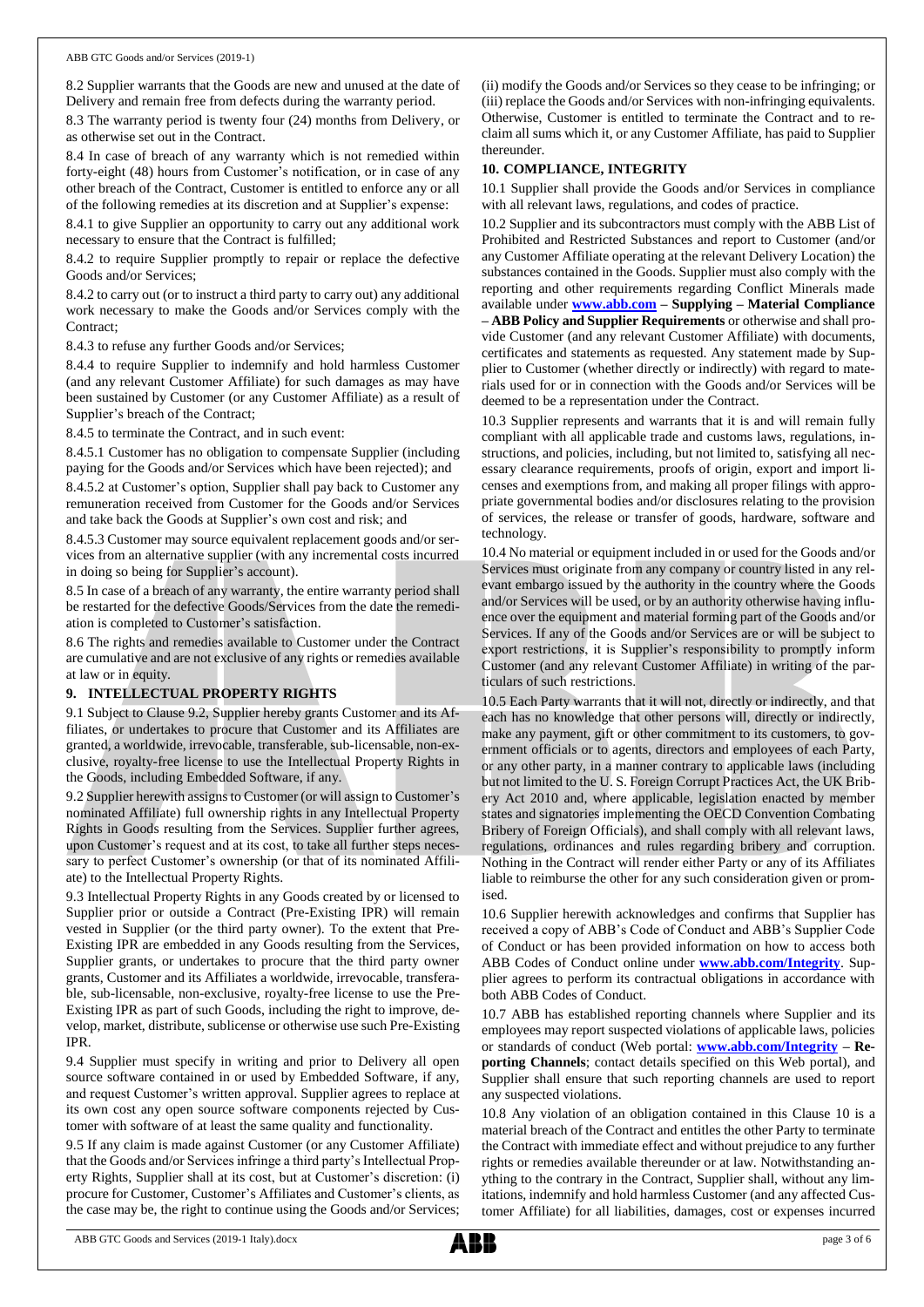8.2 Supplier warrants that the Goods are new and unused at the date of Delivery and remain free from defects during the warranty period.

8.3 The warranty period is twenty four (24) months from Delivery, or as otherwise set out in the Contract.

8.4 In case of breach of any warranty which is not remedied within forty-eight (48) hours from Customer's notification, or in case of any other breach of the Contract, Customer is entitled to enforce any or all of the following remedies at its discretion and at Supplier's expense:

8.4.1 to give Supplier an opportunity to carry out any additional work necessary to ensure that the Contract is fulfilled;

8.4.2 to require Supplier promptly to repair or replace the defective Goods and/or Services;

8.4.2 to carry out (or to instruct a third party to carry out) any additional work necessary to make the Goods and/or Services comply with the Contract;

8.4.3 to refuse any further Goods and/or Services;

8.4.4 to require Supplier to indemnify and hold harmless Customer (and any relevant Customer Affiliate) for such damages as may have been sustained by Customer (or any Customer Affiliate) as a result of Supplier's breach of the Contract;

8.4.5 to terminate the Contract, and in such event:

8.4.5.1 Customer has no obligation to compensate Supplier (including paying for the Goods and/or Services which have been rejected); and

8.4.5.2 at Customer's option, Supplier shall pay back to Customer any remuneration received from Customer for the Goods and/or Services and take back the Goods at Supplier's own cost and risk; and

8.4.5.3 Customer may source equivalent replacement goods and/or services from an alternative supplier (with any incremental costs incurred in doing so being for Supplier's account).

8.5 In case of a breach of any warranty, the entire warranty period shall be restarted for the defective Goods/Services from the date the remediation is completed to Customer's satisfaction.

8.6 The rights and remedies available to Customer under the Contract are cumulative and are not exclusive of any rights or remedies available at law or in equity.

# **9. INTELLECTUAL PROPERTY RIGHTS**

9.1 Subject to Clause 9.2, Supplier hereby grants Customer and its Affiliates, or undertakes to procure that Customer and its Affiliates are granted, a worldwide, irrevocable, transferable, sub-licensable, non-exclusive, royalty-free license to use the Intellectual Property Rights in the Goods, including Embedded Software, if any.

9.2 Supplier herewith assigns to Customer (or will assign to Customer's nominated Affiliate) full ownership rights in any Intellectual Property Rights in Goods resulting from the Services. Supplier further agrees, upon Customer's request and at its cost, to take all further steps necessary to perfect Customer's ownership (or that of its nominated Affiliate) to the Intellectual Property Rights.

9.3 Intellectual Property Rights in any Goods created by or licensed to Supplier prior or outside a Contract (Pre-Existing IPR) will remain vested in Supplier (or the third party owner). To the extent that Pre-Existing IPR are embedded in any Goods resulting from the Services, Supplier grants, or undertakes to procure that the third party owner grants, Customer and its Affiliates a worldwide, irrevocable, transferable, sub-licensable, non-exclusive, royalty-free license to use the Pre-Existing IPR as part of such Goods, including the right to improve, develop, market, distribute, sublicense or otherwise use such Pre-Existing IPR.

9.4 Supplier must specify in writing and prior to Delivery all open source software contained in or used by Embedded Software, if any, and request Customer's written approval. Supplier agrees to replace at its own cost any open source software components rejected by Customer with software of at least the same quality and functionality.

9.5 If any claim is made against Customer (or any Customer Affiliate) that the Goods and/or Services infringe a third party's Intellectual Property Rights, Supplier shall at its cost, but at Customer's discretion: (i) procure for Customer, Customer's Affiliates and Customer's clients, as the case may be, the right to continue using the Goods and/or Services; (ii) modify the Goods and/or Services so they cease to be infringing; or (iii) replace the Goods and/or Services with non-infringing equivalents. Otherwise, Customer is entitled to terminate the Contract and to reclaim all sums which it, or any Customer Affiliate, has paid to Supplier thereunder.

## **10. COMPLIANCE, INTEGRITY**

10.1 Supplier shall provide the Goods and/or Services in compliance with all relevant laws, regulations, and codes of practice.

10.2 Supplier and its subcontractors must comply with the ABB List of Prohibited and Restricted Substances and report to Customer (and/or any Customer Affiliate operating at the relevant Delivery Location) the substances contained in the Goods. Supplier must also comply with the reporting and other requirements regarding Conflict Minerals made available under **[www.abb.com](http://www.abb.com/) – Supplying – Material Compliance – ABB Policy and Supplier Requirements** or otherwise and shall provide Customer (and any relevant Customer Affiliate) with documents, certificates and statements as requested. Any statement made by Supplier to Customer (whether directly or indirectly) with regard to materials used for or in connection with the Goods and/or Services will be deemed to be a representation under the Contract.

10.3 Supplier represents and warrants that it is and will remain fully compliant with all applicable trade and customs laws, regulations, instructions, and policies, including, but not limited to, satisfying all necessary clearance requirements, proofs of origin, export and import licenses and exemptions from, and making all proper filings with appropriate governmental bodies and/or disclosures relating to the provision of services, the release or transfer of goods, hardware, software and technology.

10.4 No material or equipment included in or used for the Goods and/or Services must originate from any company or country listed in any relevant embargo issued by the authority in the country where the Goods and/or Services will be used, or by an authority otherwise having influence over the equipment and material forming part of the Goods and/or Services. If any of the Goods and/or Services are or will be subject to export restrictions, it is Supplier's responsibility to promptly inform Customer (and any relevant Customer Affiliate) in writing of the particulars of such restrictions.

10.5 Each Party warrants that it will not, directly or indirectly, and that each has no knowledge that other persons will, directly or indirectly, make any payment, gift or other commitment to its customers, to government officials or to agents, directors and employees of each Party, or any other party, in a manner contrary to applicable laws (including but not limited to the U. S. Foreign Corrupt Practices Act, the UK Bribery Act 2010 and, where applicable, legislation enacted by member states and signatories implementing the OECD Convention Combating Bribery of Foreign Officials), and shall comply with all relevant laws, regulations, ordinances and rules regarding bribery and corruption. Nothing in the Contract will render either Party or any of its Affiliates liable to reimburse the other for any such consideration given or promised.

10.6 Supplier herewith acknowledges and confirms that Supplier has received a copy of ABB's Code of Conduct and ABB's Supplier Code of Conduct or has been provided information on how to access both ABB Codes of Conduct online under **[www.abb.com/Integrity](http://www.abb.com/Integrity)**. Supplier agrees to perform its contractual obligations in accordance with both ABB Codes of Conduct.

10.7 ABB has established reporting channels where Supplier and its employees may report suspected violations of applicable laws, policies or standards of conduct (Web portal: **[www.abb.com/Integrity](http://www.abb.com/Integrity) – Reporting Channels**; contact details specified on this Web portal), and Supplier shall ensure that such reporting channels are used to report any suspected violations.

10.8 Any violation of an obligation contained in this Clause 10 is a material breach of the Contract and entitles the other Party to terminate the Contract with immediate effect and without prejudice to any further rights or remedies available thereunder or at law. Notwithstanding anything to the contrary in the Contract, Supplier shall, without any limitations, indemnify and hold harmless Customer (and any affected Customer Affiliate) for all liabilities, damages, cost or expenses incurred

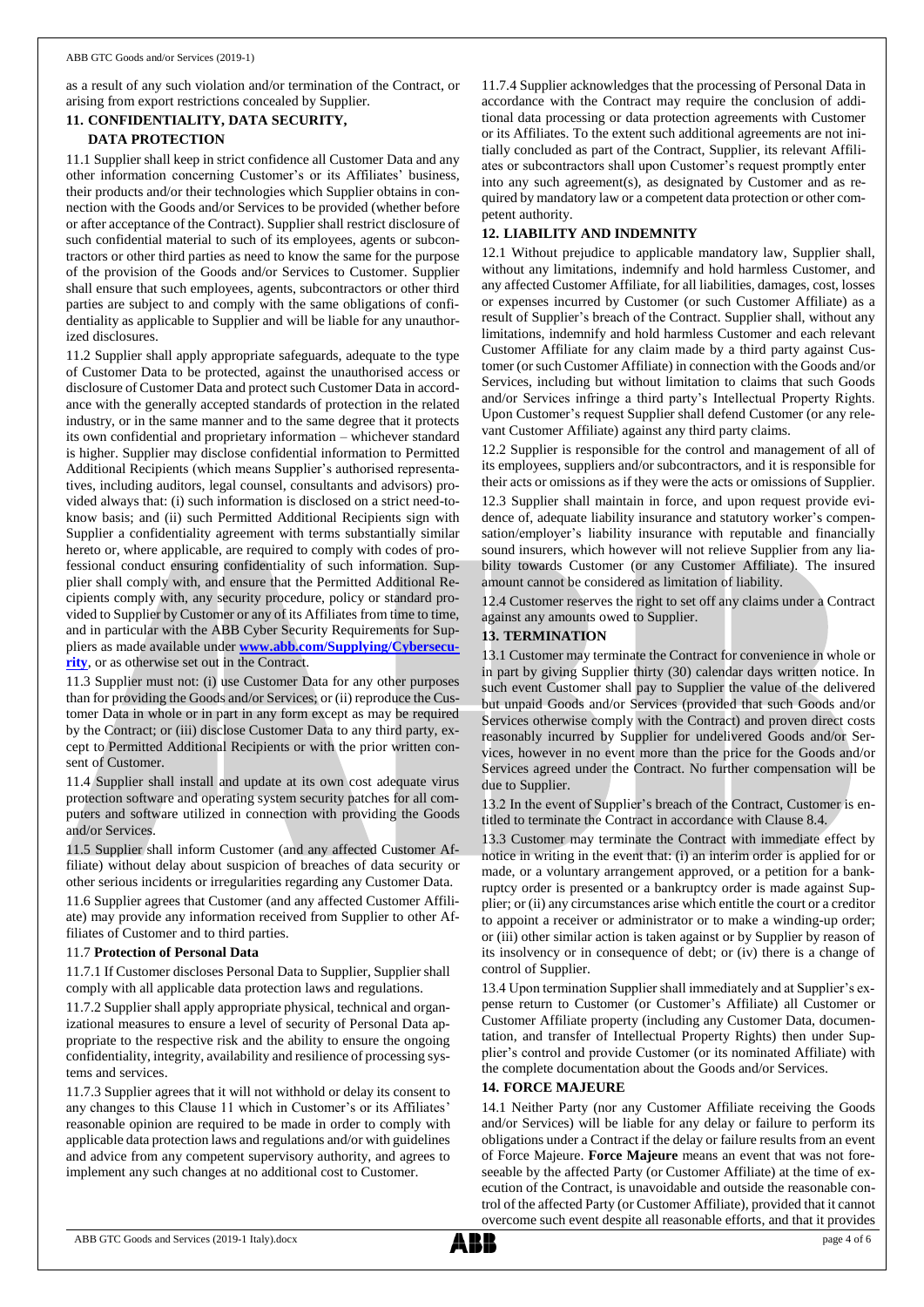as a result of any such violation and/or termination of the Contract, or arising from export restrictions concealed by Supplier.

# **11. CONFIDENTIALITY, DATA SECURITY, DATA PROTECTION**

11.1 Supplier shall keep in strict confidence all Customer Data and any other information concerning Customer's or its Affiliates' business, their products and/or their technologies which Supplier obtains in connection with the Goods and/or Services to be provided (whether before or after acceptance of the Contract). Supplier shall restrict disclosure of such confidential material to such of its employees, agents or subcontractors or other third parties as need to know the same for the purpose of the provision of the Goods and/or Services to Customer. Supplier shall ensure that such employees, agents, subcontractors or other third parties are subject to and comply with the same obligations of confidentiality as applicable to Supplier and will be liable for any unauthorized disclosures.

11.2 Supplier shall apply appropriate safeguards, adequate to the type of Customer Data to be protected, against the unauthorised access or disclosure of Customer Data and protect such Customer Data in accordance with the generally accepted standards of protection in the related industry, or in the same manner and to the same degree that it protects its own confidential and proprietary information – whichever standard is higher. Supplier may disclose confidential information to Permitted Additional Recipients (which means Supplier's authorised representatives, including auditors, legal counsel, consultants and advisors) provided always that: (i) such information is disclosed on a strict need-toknow basis; and (ii) such Permitted Additional Recipients sign with Supplier a confidentiality agreement with terms substantially similar hereto or, where applicable, are required to comply with codes of professional conduct ensuring confidentiality of such information. Supplier shall comply with, and ensure that the Permitted Additional Recipients comply with, any security procedure, policy or standard provided to Supplier by Customer or any of its Affiliates from time to time, and in particular with the ABB Cyber Security Requirements for Suppliers as made available under **[www.abb.com/Supplying/Cybersecu](http://www.abb.com/Supplying/Cybersecurity)[rity](http://www.abb.com/Supplying/Cybersecurity)**, or as otherwise set out in the Contract.

11.3 Supplier must not: (i) use Customer Data for any other purposes than for providing the Goods and/or Services; or (ii) reproduce the Customer Data in whole or in part in any form except as may be required by the Contract; or (iii) disclose Customer Data to any third party, except to Permitted Additional Recipients or with the prior written consent of Customer.

11.4 Supplier shall install and update at its own cost adequate virus protection software and operating system security patches for all computers and software utilized in connection with providing the Goods and/or Services.

11.5 Supplier shall inform Customer (and any affected Customer Affiliate) without delay about suspicion of breaches of data security or other serious incidents or irregularities regarding any Customer Data.

11.6 Supplier agrees that Customer (and any affected Customer Affiliate) may provide any information received from Supplier to other Affiliates of Customer and to third parties.

## 11.7 **Protection of Personal Data**

11.7.1 If Customer discloses Personal Data to Supplier, Supplier shall comply with all applicable data protection laws and regulations.

11.7.2 Supplier shall apply appropriate physical, technical and organizational measures to ensure a level of security of Personal Data appropriate to the respective risk and the ability to ensure the ongoing confidentiality, integrity, availability and resilience of processing systems and services.

11.7.3 Supplier agrees that it will not withhold or delay its consent to any changes to this Clause 11 which in Customer's or its Affiliates' reasonable opinion are required to be made in order to comply with applicable data protection laws and regulations and/or with guidelines and advice from any competent supervisory authority, and agrees to implement any such changes at no additional cost to Customer.

11.7.4 Supplier acknowledges that the processing of Personal Data in accordance with the Contract may require the conclusion of additional data processing or data protection agreements with Customer or its Affiliates. To the extent such additional agreements are not initially concluded as part of the Contract, Supplier, its relevant Affiliates or subcontractors shall upon Customer's request promptly enter into any such agreement(s), as designated by Customer and as required by mandatory law or a competent data protection or other competent authority.

# **12. LIABILITY AND INDEMNITY**

12.1 Without prejudice to applicable mandatory law, Supplier shall, without any limitations, indemnify and hold harmless Customer, and any affected Customer Affiliate, for all liabilities, damages, cost, losses or expenses incurred by Customer (or such Customer Affiliate) as a result of Supplier's breach of the Contract. Supplier shall, without any limitations, indemnify and hold harmless Customer and each relevant Customer Affiliate for any claim made by a third party against Customer (or such Customer Affiliate) in connection with the Goods and/or Services, including but without limitation to claims that such Goods and/or Services infringe a third party's Intellectual Property Rights. Upon Customer's request Supplier shall defend Customer (or any relevant Customer Affiliate) against any third party claims.

12.2 Supplier is responsible for the control and management of all of its employees, suppliers and/or subcontractors, and it is responsible for their acts or omissions as if they were the acts or omissions of Supplier.

12.3 Supplier shall maintain in force, and upon request provide evidence of, adequate liability insurance and statutory worker's compensation/employer's liability insurance with reputable and financially sound insurers, which however will not relieve Supplier from any liability towards Customer (or any Customer Affiliate). The insured amount cannot be considered as limitation of liability.

12.4 Customer reserves the right to set off any claims under a Contract against any amounts owed to Supplier.

# **13. TERMINATION**

13.1 Customer may terminate the Contract for convenience in whole or in part by giving Supplier thirty (30) calendar days written notice. In such event Customer shall pay to Supplier the value of the delivered but unpaid Goods and/or Services (provided that such Goods and/or Services otherwise comply with the Contract) and proven direct costs reasonably incurred by Supplier for undelivered Goods and/or Services, however in no event more than the price for the Goods and/or Services agreed under the Contract. No further compensation will be due to Supplier.

13.2 In the event of Supplier's breach of the Contract, Customer is entitled to terminate the Contract in accordance with Clause 8.4.

13.3 Customer may terminate the Contract with immediate effect by notice in writing in the event that: (i) an interim order is applied for or made, or a voluntary arrangement approved, or a petition for a bankruptcy order is presented or a bankruptcy order is made against Supplier; or (ii) any circumstances arise which entitle the court or a creditor to appoint a receiver or administrator or to make a winding-up order; or (iii) other similar action is taken against or by Supplier by reason of its insolvency or in consequence of debt; or (iv) there is a change of control of Supplier.

13.4 Upon termination Supplier shall immediately and at Supplier's expense return to Customer (or Customer's Affiliate) all Customer or Customer Affiliate property (including any Customer Data, documentation, and transfer of Intellectual Property Rights) then under Supplier's control and provide Customer (or its nominated Affiliate) with the complete documentation about the Goods and/or Services.

## **14. FORCE MAJEURE**

14.1 Neither Party (nor any Customer Affiliate receiving the Goods and/or Services) will be liable for any delay or failure to perform its obligations under a Contract if the delay or failure results from an event of Force Majeure. **Force Majeure** means an event that was not foreseeable by the affected Party (or Customer Affiliate) at the time of execution of the Contract, is unavoidable and outside the reasonable control of the affected Party (or Customer Affiliate), provided that it cannot overcome such event despite all reasonable efforts, and that it provides

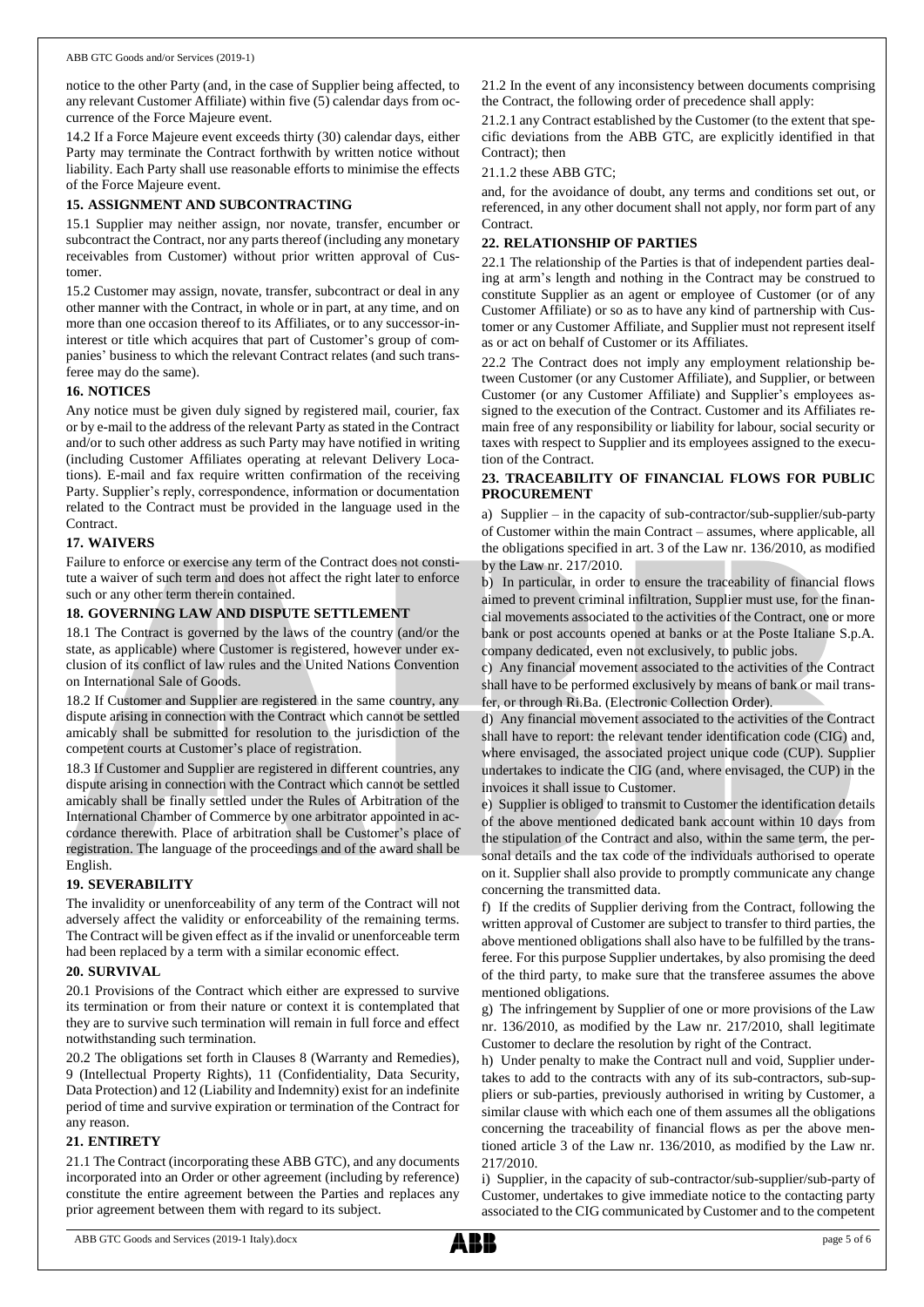notice to the other Party (and, in the case of Supplier being affected, to any relevant Customer Affiliate) within five (5) calendar days from occurrence of the Force Majeure event.

14.2 If a Force Majeure event exceeds thirty (30) calendar days, either Party may terminate the Contract forthwith by written notice without liability. Each Party shall use reasonable efforts to minimise the effects of the Force Majeure event.

#### **15. ASSIGNMENT AND SUBCONTRACTING**

15.1 Supplier may neither assign, nor novate, transfer, encumber or subcontract the Contract, nor any parts thereof (including any monetary receivables from Customer) without prior written approval of Customer.

15.2 Customer may assign, novate, transfer, subcontract or deal in any other manner with the Contract, in whole or in part, at any time, and on more than one occasion thereof to its Affiliates, or to any successor-ininterest or title which acquires that part of Customer's group of companies' business to which the relevant Contract relates (and such transferee may do the same).

### **16. NOTICES**

Any notice must be given duly signed by registered mail, courier, fax or by e-mail to the address of the relevant Party as stated in the Contract and/or to such other address as such Party may have notified in writing (including Customer Affiliates operating at relevant Delivery Locations). E-mail and fax require written confirmation of the receiving Party. Supplier's reply, correspondence, information or documentation related to the Contract must be provided in the language used in the Contract.

### **17. WAIVERS**

Failure to enforce or exercise any term of the Contract does not constitute a waiver of such term and does not affect the right later to enforce such or any other term therein contained.

### **18. GOVERNING LAW AND DISPUTE SETTLEMENT**

18.1 The Contract is governed by the laws of the country (and/or the state, as applicable) where Customer is registered, however under exclusion of its conflict of law rules and the United Nations Convention on International Sale of Goods.

18.2 If Customer and Supplier are registered in the same country, any dispute arising in connection with the Contract which cannot be settled amicably shall be submitted for resolution to the jurisdiction of the competent courts at Customer's place of registration.

18.3 If Customer and Supplier are registered in different countries, any dispute arising in connection with the Contract which cannot be settled amicably shall be finally settled under the Rules of Arbitration of the International Chamber of Commerce by one arbitrator appointed in accordance therewith. Place of arbitration shall be Customer's place of registration. The language of the proceedings and of the award shall be English.

## **19. SEVERABILITY**

The invalidity or unenforceability of any term of the Contract will not adversely affect the validity or enforceability of the remaining terms. The Contract will be given effect as if the invalid or unenforceable term had been replaced by a term with a similar economic effect.

#### **20. SURVIVAL**

20.1 Provisions of the Contract which either are expressed to survive its termination or from their nature or context it is contemplated that they are to survive such termination will remain in full force and effect notwithstanding such termination.

20.2 The obligations set forth in Clauses 8 (Warranty and Remedies), 9 (Intellectual Property Rights), 11 (Confidentiality, Data Security, Data Protection) and 12 (Liability and Indemnity) exist for an indefinite period of time and survive expiration or termination of the Contract for any reason.

#### **21. ENTIRETY**

21.1 The Contract (incorporating these ABB GTC), and any documents incorporated into an Order or other agreement (including by reference) constitute the entire agreement between the Parties and replaces any prior agreement between them with regard to its subject.

21.2 In the event of any inconsistency between documents comprising the Contract, the following order of precedence shall apply:

21.2.1 any Contract established by the Customer (to the extent that specific deviations from the ABB GTC, are explicitly identified in that Contract); then

### 21.1.2 these ABB GTC;

and, for the avoidance of doubt, any terms and conditions set out, or referenced, in any other document shall not apply, nor form part of any Contract.

## **22. RELATIONSHIP OF PARTIES**

22.1 The relationship of the Parties is that of independent parties dealing at arm's length and nothing in the Contract may be construed to constitute Supplier as an agent or employee of Customer (or of any Customer Affiliate) or so as to have any kind of partnership with Customer or any Customer Affiliate, and Supplier must not represent itself as or act on behalf of Customer or its Affiliates.

22.2 The Contract does not imply any employment relationship between Customer (or any Customer Affiliate), and Supplier, or between Customer (or any Customer Affiliate) and Supplier's employees assigned to the execution of the Contract. Customer and its Affiliates remain free of any responsibility or liability for labour, social security or taxes with respect to Supplier and its employees assigned to the execution of the Contract.

# **23. TRACEABILITY OF FINANCIAL FLOWS FOR PUBLIC PROCUREMENT**

a) Supplier – in the capacity of sub-contractor/sub-supplier/sub-party of Customer within the main Contract – assumes, where applicable, all the obligations specified in art. 3 of the Law nr. 136/2010, as modified by the Law nr. 217/2010.

b) In particular, in order to ensure the traceability of financial flows aimed to prevent criminal infiltration, Supplier must use, for the financial movements associated to the activities of the Contract, one or more bank or post accounts opened at banks or at the Poste Italiane S.p.A. company dedicated, even not exclusively, to public jobs.

c) Any financial movement associated to the activities of the Contract shall have to be performed exclusively by means of bank or mail transfer, or through Ri.Ba. (Electronic Collection Order).

d) Any financial movement associated to the activities of the Contract shall have to report: the relevant tender identification code (CIG) and, where envisaged, the associated project unique code (CUP). Supplier undertakes to indicate the CIG (and, where envisaged, the CUP) in the invoices it shall issue to Customer.

e) Supplier is obliged to transmit to Customer the identification details of the above mentioned dedicated bank account within 10 days from the stipulation of the Contract and also, within the same term, the personal details and the tax code of the individuals authorised to operate on it. Supplier shall also provide to promptly communicate any change concerning the transmitted data.

f) If the credits of Supplier deriving from the Contract, following the written approval of Customer are subject to transfer to third parties, the above mentioned obligations shall also have to be fulfilled by the transferee. For this purpose Supplier undertakes, by also promising the deed of the third party, to make sure that the transferee assumes the above mentioned obligations.

g) The infringement by Supplier of one or more provisions of the Law nr. 136/2010, as modified by the Law nr. 217/2010, shall legitimate Customer to declare the resolution by right of the Contract.

h) Under penalty to make the Contract null and void, Supplier undertakes to add to the contracts with any of its sub-contractors, sub-suppliers or sub-parties, previously authorised in writing by Customer, a similar clause with which each one of them assumes all the obligations concerning the traceability of financial flows as per the above mentioned article 3 of the Law nr. 136/2010, as modified by the Law nr. 217/2010.

i) Supplier, in the capacity of sub-contractor/sub-supplier/sub-party of Customer, undertakes to give immediate notice to the contacting party associated to the CIG communicated by Customer and to the competent